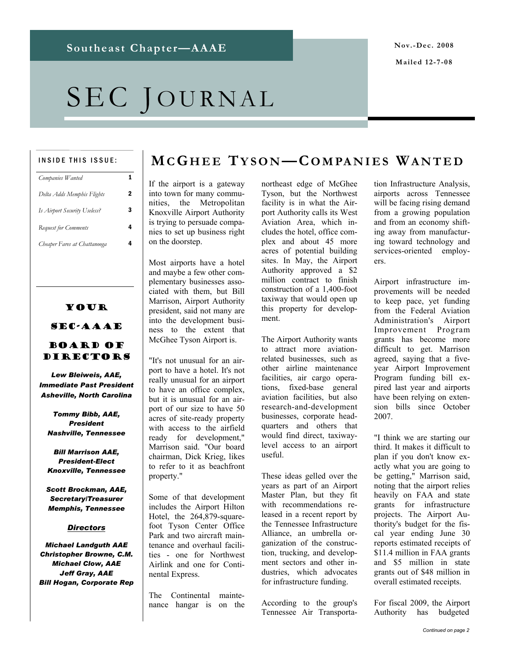#### **Mailed 12-7-08**

# SEC JOURNAL

#### INSIDE THIS ISSUE:

| Companies Wanted             |   |
|------------------------------|---|
| Delta Adds Memphis Flights   | 2 |
| Is Airport Security Useless? | 3 |
| <b>Request for Comments</b>  | 4 |
| Cheaper Fares at Chattanooga |   |

### Your SEC-AAAE

### Board of Directors

*Lew Bleiweis, AAE, Immediate Past President Asheville, North Carolina* 

*Tommy Bibb, AAE, President Nashville, Tennessee* 

*Bill Marrison AAE, President-Elect Knoxville, Tennessee* 

*Scott Brockman, AAE, Secretary/Treasurer Memphis, Tennessee* 

#### *Directors*

*Michael Landguth AAE Christopher Browne, C.M. Michael Clow, AAE Jeff Gray, AAE Bill Hogan, Corporate Rep* 

### **MCG HEE TYSON—COMPANIES WANTED**

If the airport is a gateway into town for many communities, the Metropolitan Knoxville Airport Authority is trying to persuade companies to set up business right on the doorstep.

Most airports have a hotel and maybe a few other complementary businesses associated with them, but Bill Marrison, Airport Authority president, said not many are into the development business to the extent that McGhee Tyson Airport is.

"It's not unusual for an airport to have a hotel. It's not really unusual for an airport to have an office complex, but it is unusual for an airport of our size to have 50 acres of site-ready property with access to the airfield ready for development," Marrison said. "Our board chairman, Dick Krieg, likes to refer to it as beachfront property."

Some of that development includes the Airport Hilton Hotel, the 264,879-squarefoot Tyson Center Office Park and two aircraft maintenance and overhaul facilities - one for Northwest Airlink and one for Continental Express.

The Continental maintenance hangar is on the northeast edge of McGhee Tyson, but the Northwest facility is in what the Airport Authority calls its West Aviation Area, which includes the hotel, office complex and about 45 more acres of potential building sites. In May, the Airport Authority approved a \$2 million contract to finish construction of a 1,400-foot taxiway that would open up this property for development.

The Airport Authority wants to attract more aviationrelated businesses, such as other airline maintenance facilities, air cargo operations, fixed-base general aviation facilities, but also research-and-development businesses, corporate headquarters and others that would find direct, taxiwaylevel access to an airport useful.

These ideas gelled over the years as part of an Airport Master Plan, but they fit with recommendations released in a recent report by the Tennessee Infrastructure Alliance, an umbrella organization of the construction, trucking, and development sectors and other industries, which advocates for infrastructure funding.

According to the group's Tennessee Air Transporta-

tion Infrastructure Analysis, airports across Tennessee will be facing rising demand from a growing population and from an economy shifting away from manufacturing toward technology and services-oriented employers.

Airport infrastructure improvements will be needed to keep pace, yet funding from the Federal Aviation Administration's Airport Improvement Program grants has become more difficult to get. Marrison agreed, saying that a fiveyear Airport Improvement Program funding bill expired last year and airports have been relying on extension bills since October 2007.

"I think we are starting our third. It makes it difficult to plan if you don't know exactly what you are going to be getting," Marrison said, noting that the airport relies heavily on FAA and state grants for infrastructure projects. The Airport Authority's budget for the fiscal year ending June 30 reports estimated receipts of \$11.4 million in FAA grants and \$5 million in state grants out of \$48 million in overall estimated receipts.

For fiscal 2009, the Airport Authority has budgeted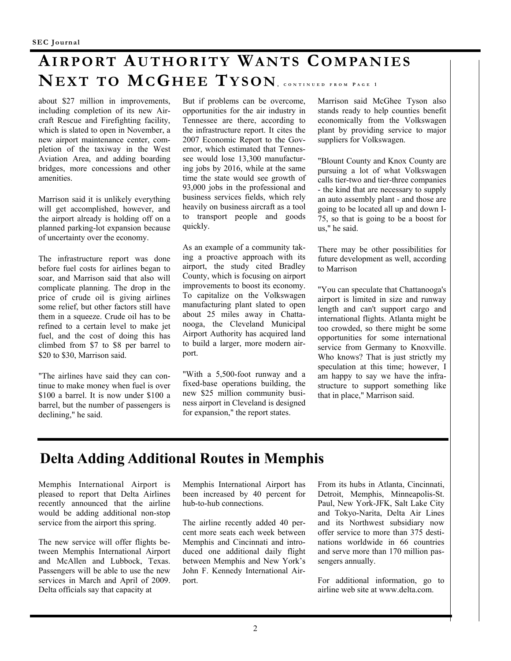# **AIRPORT AUTHORITY WANTS COMPANIES NEXT TO MCGHEE TYSON, CONTINUED FROM P AGE 1**

about \$27 million in improvements, including completion of its new Aircraft Rescue and Firefighting facility, which is slated to open in November, a new airport maintenance center, completion of the taxiway in the West Aviation Area, and adding boarding bridges, more concessions and other amenities.

Marrison said it is unlikely everything will get accomplished, however, and the airport already is holding off on a planned parking-lot expansion because of uncertainty over the economy.

The infrastructure report was done before fuel costs for airlines began to soar, and Marrison said that also will complicate planning. The drop in the price of crude oil is giving airlines some relief, but other factors still have them in a squeeze. Crude oil has to be refined to a certain level to make jet fuel, and the cost of doing this has climbed from \$7 to \$8 per barrel to \$20 to \$30, Marrison said.

"The airlines have said they can continue to make money when fuel is over \$100 a barrel. It is now under \$100 a barrel, but the number of passengers is declining," he said.

But if problems can be overcome, opportunities for the air industry in Tennessee are there, according to the infrastructure report. It cites the 2007 Economic Report to the Governor, which estimated that Tennessee would lose 13,300 manufacturing jobs by 2016, while at the same time the state would see growth of 93,000 jobs in the professional and business services fields, which rely heavily on business aircraft as a tool to transport people and goods quickly.

As an example of a community taking a proactive approach with its airport, the study cited Bradley County, which is focusing on airport improvements to boost its economy. To capitalize on the Volkswagen manufacturing plant slated to open about 25 miles away in Chattanooga, the Cleveland Municipal Airport Authority has acquired land to build a larger, more modern airport.

"With a 5,500-foot runway and a fixed-base operations building, the new \$25 million community business airport in Cleveland is designed for expansion," the report states.

Marrison said McGhee Tyson also stands ready to help counties benefit economically from the Volkswagen plant by providing service to major suppliers for Volkswagen.

"Blount County and Knox County are pursuing a lot of what Volkswagen calls tier-two and tier-three companies - the kind that are necessary to supply an auto assembly plant - and those are going to be located all up and down I-75, so that is going to be a boost for us," he said.

There may be other possibilities for future development as well, according to Marrison

"You can speculate that Chattanooga's airport is limited in size and runway length and can't support cargo and international flights. Atlanta might be too crowded, so there might be some opportunities for some international service from Germany to Knoxville. Who knows? That is just strictly my speculation at this time; however, I am happy to say we have the infrastructure to support something like that in place," Marrison said.

### **Delta Adding Additional Routes in Memphis**

Memphis International Airport is pleased to report that Delta Airlines recently announced that the airline would be adding additional non-stop service from the airport this spring.

The new service will offer flights between Memphis International Airport and McAllen and Lubbock, Texas. Passengers will be able to use the new services in March and April of 2009. Delta officials say that capacity at

Memphis International Airport has been increased by 40 percent for hub-to-hub connections.

The airline recently added 40 percent more seats each week between Memphis and Cincinnati and introduced one additional daily flight between Memphis and New York's John F. Kennedy International Airport.

From its hubs in Atlanta, Cincinnati, Detroit, Memphis, Minneapolis-St. Paul, New York-JFK, Salt Lake City and Tokyo-Narita, Delta Air Lines and its Northwest subsidiary now offer service to more than 375 destinations worldwide in 66 countries and serve more than 170 million passengers annually.

For additional information, go to airline web site at www.delta.com.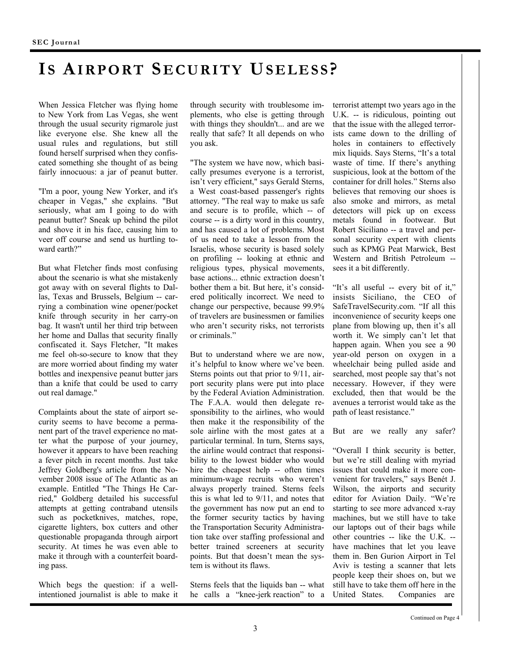# **I S AIRPORT SECURITY USELESS ?**

When Jessica Fletcher was flying home to New York from Las Vegas, she went through the usual security rigmarole just like everyone else. She knew all the usual rules and regulations, but still found herself surprised when they confiscated something she thought of as being fairly innocuous: a jar of peanut butter.

"I'm a poor, young New Yorker, and it's cheaper in Vegas," she explains. "But seriously, what am I going to do with peanut butter? Sneak up behind the pilot and shove it in his face, causing him to veer off course and send us hurtling toward earth?"

But what Fletcher finds most confusing about the scenario is what she mistakenly got away with on several flights to Dallas, Texas and Brussels, Belgium -- carrying a combination wine opener/pocket knife through security in her carry-on bag. It wasn't until her third trip between her home and Dallas that security finally confiscated it. Says Fletcher, "It makes me feel oh-so-secure to know that they are more worried about finding my water bottles and inexpensive peanut butter jars than a knife that could be used to carry out real damage."

Complaints about the state of airport security seems to have become a permanent part of the travel experience no matter what the purpose of your journey, however it appears to have been reaching a fever pitch in recent months. Just take Jeffrey Goldberg's article from the November 2008 issue of The Atlantic as an example. Entitled "The Things He Carried," Goldberg detailed his successful attempts at getting contraband utensils such as pocketknives, matches, rope, cigarette lighters, box cutters and other questionable propaganda through airport security. At times he was even able to make it through with a counterfeit boarding pass.

Which begs the question: if a wellintentioned journalist is able to make it

through security with troublesome implements, who else is getting through with things they shouldn't... and are we really that safe? It all depends on who you ask.

"The system we have now, which basically presumes everyone is a terrorist, isn't very efficient," says Gerald Sterns, a West coast-based passenger's rights attorney. "The real way to make us safe and secure is to profile, which -- of course -- is a dirty word in this country, and has caused a lot of problems. Most of us need to take a lesson from the Israelis, whose security is based solely on profiling -- looking at ethnic and religious types, physical movements, base actions... ethnic extraction doesn't bother them a bit. But here, it's considered politically incorrect. We need to change our perspective, because 99.9% of travelers are businessmen or families who aren't security risks, not terrorists or criminals."

But to understand where we are now, it's helpful to know where we've been. Sterns points out that prior to 9/11, airport security plans were put into place by the Federal Aviation Administration. The F.A.A. would then delegate responsibility to the airlines, who would then make it the responsibility of the sole airline with the most gates at a particular terminal. In turn, Sterns says, the airline would contract that responsibility to the lowest bidder who would hire the cheapest help -- often times minimum-wage recruits who weren't always properly trained. Sterns feels this is what led to 9/11, and notes that the government has now put an end to the former security tactics by having the Transportation Security Administration take over staffing professional and better trained screeners at security points. But that doesn't mean the system is without its flaws.

Sterns feels that the liquids ban -- what he calls a "knee-jerk reaction" to a

terrorist attempt two years ago in the U.K. -- is ridiculous, pointing out that the issue with the alleged terrorists came down to the drilling of holes in containers to effectively mix liquids. Says Sterns, "It's a total waste of time. If there's anything suspicious, look at the bottom of the container for drill holes." Sterns also believes that removing our shoes is also smoke and mirrors, as metal detectors will pick up on excess metals found in footwear. But Robert Siciliano -- a travel and personal security expert with clients such as KPMG Peat Marwick, Best Western and British Petroleum - sees it a bit differently.

"It's all useful -- every bit of it," insists Siciliano, the CEO of SafeTravelSecurity.com. "If all this inconvenience of security keeps one plane from blowing up, then it's all worth it. We simply can't let that happen again. When you see a 90 year-old person on oxygen in a wheelchair being pulled aside and searched, most people say that's not necessary. However, if they were excluded, then that would be the avenues a terrorist would take as the path of least resistance."

But are we really any safer?

"Overall I think security is better, but we're still dealing with myriad issues that could make it more convenient for travelers," says Benét J. Wilson, the airports and security editor for Aviation Daily. "We're starting to see more advanced x-ray machines, but we still have to take our laptops out of their bags while other countries -- like the U.K. - have machines that let you leave them in. Ben Gurion Airport in Tel Aviv is testing a scanner that lets people keep their shoes on, but we still have to take them off here in the United States. Companies are